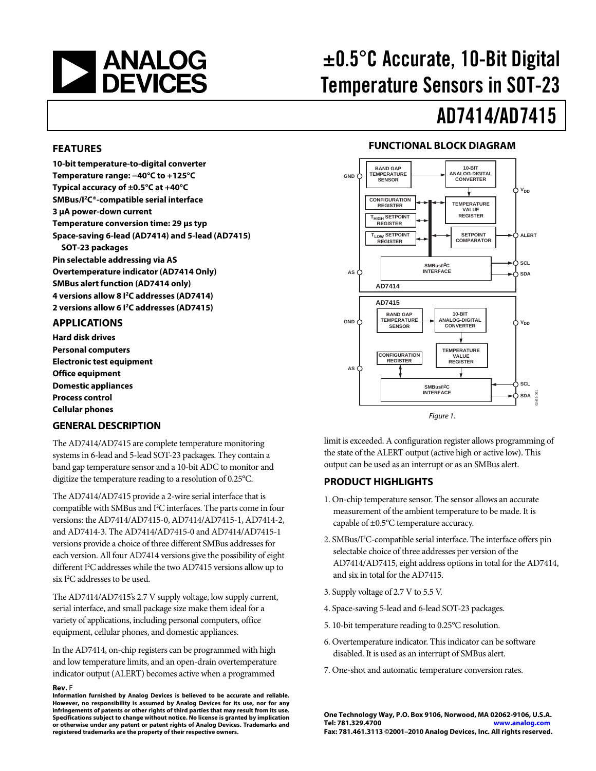

# ±0.5°C Accurate, 10-Bit Digital Temperature Sensors in SOT-23

# AD7414/AD7415

#### **FEATURES**

**10-bit temperature-to-digital converter Temperature range: −40°C to +125°C Typical accuracy of ±0.5°C at +40°C SMBus/I2C®-compatible serial interface 3 μA power-down current Temperature conversion time: 29 μs typ Space-saving 6-lead (AD7414) and 5-lead (AD7415) SOT-23 packages Pin selectable addressing via AS Overtemperature indicator (AD7414 Only) SMBus alert function (AD7414 only) 4 versions allow 8 I2C addresses (AD7414) 2 versions allow 6 I2C addresses (AD7415)** 

#### **APPLICATIONS**

**Hard disk drives Personal computers Electronic test equipment Office equipment Domestic appliances Process control Cellular phones** 

#### **GENERAL DESCRIPTION**

The AD7414/AD7415 are complete temperature monitoring systems in 6-lead and 5-lead SOT-23 packages. They contain a band gap temperature sensor and a 10-bit ADC to monitor and digitize the temperature reading to a resolution of 0.25°C.

The AD7414/AD7415 provide a 2-wire serial interface that is compatible with SMBus and I<sup>2</sup>C interfaces. The parts come in four versions: the AD7414/AD7415-0, AD7414/AD7415-1, AD7414-2, and AD7414-3. The AD7414/AD7415-0 and AD7414/AD7415-1 versions provide a choice of three different SMBus addresses for each version. All four AD7414 versions give the possibility of eight different I<sup>2</sup>C addresses while the two AD7415 versions allow up to six I<sup>2</sup>C addresses to be used.

The AD7414/AD7415's 2.7 V supply voltage, low supply current, serial interface, and small package size make them ideal for a variety of applications, including personal computers, office equipment, cellular phones, and domestic appliances.

In the AD7414, on-chip registers can be programmed with high and low temperature limits, and an open-drain overtemperature indicator output (ALERT) becomes active when a programmed

#### **Rev.** F

**Information furnished by Analog Devices is believed to be accurate and reliable. However, no responsibility is assumed by Analog Devices for its use, nor for any infringements of patents or other rights of third parties that may result from its use. Specifications subject to change without notice. No license is granted by implication or otherwise under any patent or patent rights of Analog Devices. Trademarks and registered trademarks are the property of their respective owners.**

#### **FUNCTIONAL BLOCK DIAGRAM**



limit is exceeded. A configuration register allows programming of the state of the ALERT output (active high or active low). This output can be used as an interrupt or as an SMBus alert.

#### **PRODUCT HIGHLIGHTS**

- 1. On-chip temperature sensor. The sensor allows an accurate measurement of the ambient temperature to be made. It is capable of ±0.5°C temperature accuracy.
- 2. SMBus/I<sup>2</sup>C-compatible serial interface. The interface offers pin selectable choice of three addresses per version of the AD7414/AD7415, eight address options in total for the AD7414, and six in total for the AD7415.
- 3. Supply voltage of 2.7 V to 5.5 V.
- 4. Space-saving 5-lead and 6-lead SOT-23 packages.
- 5. 10-bit temperature reading to 0.25°C resolution.
- 6. Overtemperature indicator. This indicator can be software disabled. It is used as an interrupt of SMBus alert.
- 7. One-shot and automatic temperature conversion rates.

**One Technology Way, P.O. Box 9106, Norwood, MA 02062-9106, U.S.A. Tel: 781.329.4700 www.analog.com Fax: 781.461.3113 ©2001–2010 Analog Devices, Inc. All rights reserved.**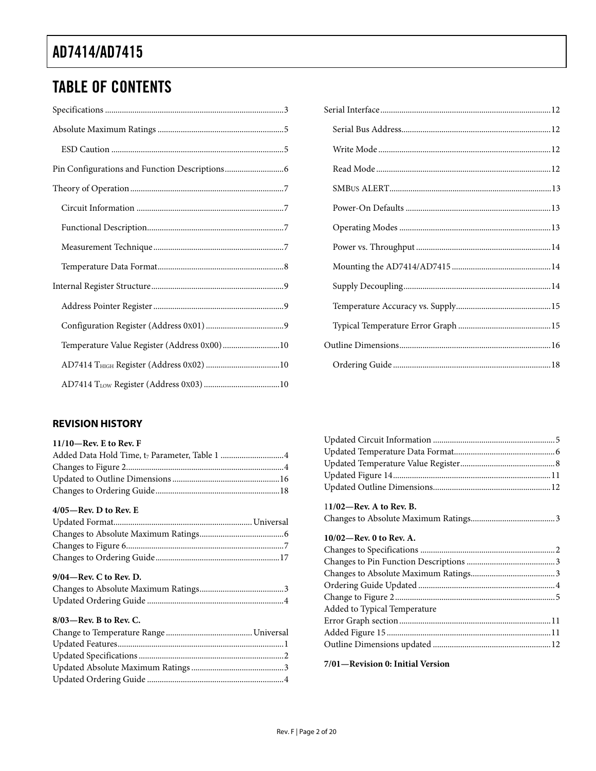# TABLE OF CONTENTS

| Temperature Value Register (Address 0x00)10 |  |
|---------------------------------------------|--|
|                                             |  |
|                                             |  |

# [Serial Interface ................................................................................. 12](#page-11-0) [Serial Bus Address ....................................................................... 12](#page-11-0) [Write Mode .................................................................................. 12](#page-11-0) [Read Mode ................................................................................... 12](#page-11-0) SMBUS ALERT..[........................................................................... 13](#page-12-0) [Power-On Defaults ..................................................................... 13](#page-12-0) [Operating Modes ........................................................................ 13](#page-12-0) [Power vs. Throughput ................................................................ 14](#page-13-0) [Mounting the AD7414/AD7415 ............................................... 14](#page-13-0) [Supply Decoupling ...................................................................... 14](#page-13-0) [Temperature Accuracy vs. Supply ............................................. 15](#page-14-0) [Typical Temperature Error Graph ............................................ 15](#page-14-0) [Outline Dimensions ........................................................................ 16](#page-15-0) [Ordering Guide ........................................................................... 18](#page-17-0)

#### **REVISION HISTORY**

| $11/10$ -Rev. E to Rev. F |  |
|---------------------------|--|
|                           |  |
|                           |  |
|                           |  |
|                           |  |

#### **4/05—Rev. D to Rev. E**

#### **9/04—Rev. C to Rev. D.**

#### **8/03—Rev. B to Rev. C.**

| $11/02$ —Rev. A to Rev. B.   |
|------------------------------|
|                              |
| $10/02$ —Rev. 0 to Rev. A.   |
|                              |
|                              |
|                              |
|                              |
|                              |
| Added to Typical Temperature |
|                              |
|                              |

Outline Dimensions updated ........................................................ 12

#### **7/01—Revision 0: Initial Version**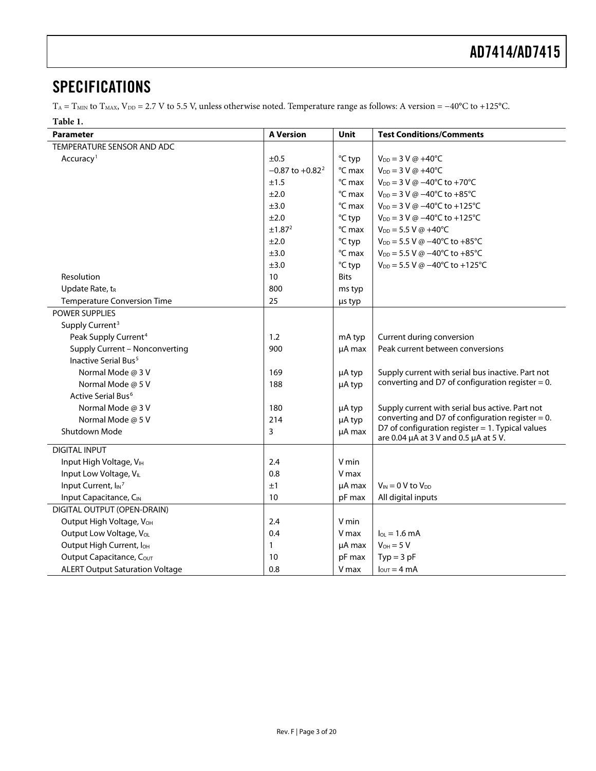### <span id="page-2-0"></span>**SPECIFICATIONS**

T<sub>A</sub> = T<sub>MIN</sub> to T<sub>MAX</sub>, V<sub>DD</sub> = 2.7 V to 5.5 V, unless otherwise noted. Temperature range as follows: A version = −40°C to +125°C.

#### **Table 1.**

| <b>Parameter</b>                       | <b>A Version</b>    | Unit             | <b>Test Conditions/Comments</b>                                                              |
|----------------------------------------|---------------------|------------------|----------------------------------------------------------------------------------------------|
| TEMPERATURE SENSOR AND ADC             |                     |                  |                                                                                              |
| Accuracy <sup>1</sup>                  | ±0.5                | °C typ           | $V_{DD} = 3 V @ +40°C$                                                                       |
|                                        | $-0.87$ to $+0.822$ | °C max           | $V_{DD} = 3 V @ +40°C$                                                                       |
|                                        | ±1.5                | °C max           | $V_{DD} = 3 V @ -40°C to +70°C$                                                              |
|                                        | ±2.0                | °C max           | $V_{DD} = 3$ V @ $-40^{\circ}$ C to $+85^{\circ}$ C                                          |
|                                        | ±3.0                | °C max           | $V_{DD} = 3$ V @ -40°C to +125°C                                                             |
|                                        | ±2.0                | °C typ           | $V_{DD} = 3 V \omega - 40^{\circ}C$ to +125°C                                                |
|                                        | ±1.87 <sup>2</sup>  | °C max           | $V_{DD} = 5.5 V @ +40°C$                                                                     |
|                                        | ±2.0                | °C typ           | $V_{DD} = 5.5 V @ -40°C to +85°C$                                                            |
|                                        | ±3.0                | °C max           | $V_{DD} = 5.5 V @ -40°C to +85°C$                                                            |
|                                        | ±3.0                | °C typ           | $V_{DD} = 5.5$ V @ $-40^{\circ}$ C to $+125^{\circ}$ C                                       |
| Resolution                             | 10                  | <b>Bits</b>      |                                                                                              |
| Update Rate, t <sub>R</sub>            | 800                 | ms typ           |                                                                                              |
| <b>Temperature Conversion Time</b>     | 25                  | us typ           |                                                                                              |
| <b>POWER SUPPLIES</b>                  |                     |                  |                                                                                              |
| Supply Current <sup>3</sup>            |                     |                  |                                                                                              |
| Peak Supply Current <sup>4</sup>       | 1.2                 | mA typ           | Current during conversion                                                                    |
| Supply Current - Nonconverting         | 900                 | µA max           | Peak current between conversions                                                             |
| Inactive Serial Bus <sup>5</sup>       |                     |                  |                                                                                              |
| Normal Mode @ 3 V                      | 169                 | µA typ           | Supply current with serial bus inactive. Part not                                            |
| Normal Mode $\omega$ 5 V               | 188                 | µA typ           | converting and D7 of configuration register = $0$ .                                          |
| Active Serial Bus <sup>6</sup>         |                     |                  |                                                                                              |
| Normal Mode @ 3 V                      | 180                 | µA typ           | Supply current with serial bus active. Part not                                              |
| Normal Mode @ 5 V                      | 214                 | µA typ           | converting and D7 of configuration register = $0$ .                                          |
| Shutdown Mode                          | 3                   | µA max           | D7 of configuration register $= 1$ . Typical values<br>are 0.04 µA at 3 V and 0.5 µA at 5 V. |
| <b>DIGITAL INPUT</b>                   |                     |                  |                                                                                              |
| Input High Voltage, VIH                | 2.4                 | V min            |                                                                                              |
| Input Low Voltage, VIL                 | 0.8                 | V max            |                                                                                              |
| Input Current, I <sub>IN</sub> 7       | ±1                  |                  | $V_{IN} = 0 V$ to $V_{DD}$                                                                   |
| Input Capacitance, CIN                 | 10                  | µA max<br>pF max | All digital inputs                                                                           |
| DIGITAL OUTPUT (OPEN-DRAIN)            |                     |                  |                                                                                              |
| Output High Voltage, V <sub>OH</sub>   | 2.4                 | V min            |                                                                                              |
| Output Low Voltage, VoL                | 0.4                 | V max            | $I_{OL}$ = 1.6 mA                                                                            |
| Output High Current, I <sub>OH</sub>   | $\mathbf{1}$        | µA max           | $V_{OH} = 5 V$                                                                               |
| Output Capacitance, Cour               | 10                  | pF max           | $Typ = 3 pF$                                                                                 |
|                                        |                     |                  |                                                                                              |
| <b>ALERT Output Saturation Voltage</b> | 0.8                 | V max            | $I_{\text{OUT}} = 4 \text{ mA}$                                                              |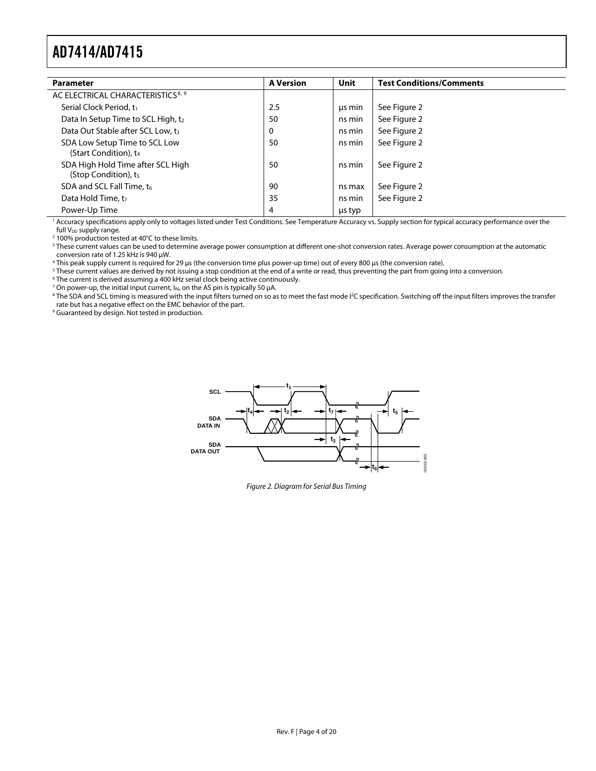<span id="page-3-0"></span>

| <b>Parameter</b>                                                   | <b>A Version</b> | <b>Unit</b> | <b>Test Conditions/Comments</b> |  |
|--------------------------------------------------------------------|------------------|-------------|---------------------------------|--|
| AC ELECTRICAL CHARACTERISTICS <sup>8, 9</sup>                      |                  |             |                                 |  |
| Serial Clock Period, t <sub>1</sub>                                | 2.5              | us min      | See Figure 2                    |  |
| Data In Setup Time to SCL High, t2                                 | 50               | ns min      | See Figure 2                    |  |
| Data Out Stable after SCL Low, t <sub>3</sub>                      | 0                | ns min      | See Figure 2                    |  |
| SDA Low Setup Time to SCL Low<br>(Start Condition), t <sub>4</sub> | 50               | ns min      | See Figure 2                    |  |
| SDA High Hold Time after SCL High<br>(Stop Condition), $t_5$       | 50               | ns min      | See Figure 2                    |  |
| SDA and SCL Fall Time, t <sub>6</sub>                              | 90               | ns max      | See Figure 2                    |  |
| Data Hold Time, t <sub>7</sub>                                     | 35               | ns min      | See Figure 2                    |  |
| Power-Up Time                                                      | 4                | us typ      |                                 |  |

<sup>1</sup> Accuracy specifications apply only to voltages listed under Test Conditions. Se[e Temperature Accuracy vs. Supply section f](#page-14-1)or typical accuracy performance over the full  $V_{DD}$  supply range.

<sup>2</sup> 100% production tested at 40°C to these limits.

<sup>3</sup> These current values can be used to determine average power consumption at different one-shot conversion rates. Average power consumption at the automatic

conversion rate of 1.25 kHz is 940 μW. 4

<sup>4</sup> This peak supply current is required for 29 μs (the conversion time plus power-up time) out of every 800 μs (the conversion rate).

<sup>5</sup> These current values are derived by not issuing a stop condition at the end of a write or read, thus preventing the part from going into a conversion.

<sup>6</sup> The current is derived assuming a 400 kHz serial clock being active continuously.<br><sup>7</sup> On power-up, the initial input current,  $I_{IN}$ , on the AS pin is typically 50 µA.

<sup>7</sup> On power-up, the initial input current, l<sub>lN</sub>, on the AS pin is typically 50 μA.<br><sup>8</sup> The SDA and SCL timing is measured with the input filters turned on so as to meet the fast mode I²C specification. Switching off the rate but has a negative effect on the EMC behavior of the part.

<span id="page-3-1"></span><sup>9</sup> Guaranteed by design. Not tested in production.



Figure 2. Diagram for Serial Bus Timing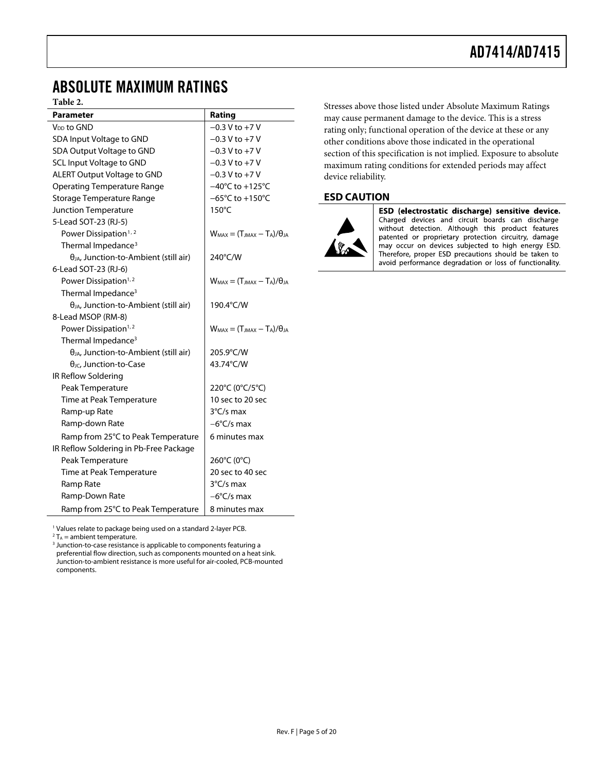### <span id="page-4-0"></span>ABSOLUTE MAXIMUM RATINGS

#### **Table 2.**

<span id="page-4-5"></span><span id="page-4-4"></span>

| <b>Parameter</b>                                | Rating                                   |
|-------------------------------------------------|------------------------------------------|
| V <sub>DD</sub> to GND                          | $-0.3$ V to $+7$ V                       |
| SDA Input Voltage to GND                        | $-0.3$ V to $+7$ V                       |
| SDA Output Voltage to GND                       | $-0.3 V$ to $+7 V$                       |
| <b>SCL Input Voltage to GND</b>                 | $-0.3 V$ to $+7 V$                       |
| <b>ALERT Output Voltage to GND</b>              | $-0.3$ V to $+7$ V                       |
| <b>Operating Temperature Range</b>              | $-40^{\circ}$ C to $+125^{\circ}$ C      |
| Storage Temperature Range                       | $-65^{\circ}$ C to $+150^{\circ}$ C      |
| Junction Temperature                            | $150^{\circ}$ C                          |
| 5-Lead SOT-23 (RJ-5)                            |                                          |
| Power Dissipation <sup>1,2</sup>                | $W_{MAX} = (T_{JMAX} - T_A)/\theta_{JA}$ |
| Thermal Impedance <sup>3</sup>                  |                                          |
| $\theta_{JA}$ , Junction-to-Ambient (still air) | 240°C/W                                  |
| 6-Lead SOT-23 (RJ-6)                            |                                          |
| Power Dissipation <sup>1,2</sup>                | $W_{MAX} = (T_{MAX} - T_A)/\theta_A$     |
| Thermal Impedance <sup>3</sup>                  |                                          |
| $\theta_{JA}$ , Junction-to-Ambient (still air) | 190.4°C/W                                |
| 8-Lead MSOP (RM-8)                              |                                          |
| Power Dissipation <sup>1,2</sup>                | $W_{MAX} = (T_{JMAX} - T_A)/\theta_{IA}$ |
| Thermal Impedance <sup>3</sup>                  |                                          |
| $\theta_{JA}$ , Junction-to-Ambient (still air) | 205.9°C/W                                |
| $\theta$ <sub>JC</sub> , Junction-to-Case       | 43.74°C/W                                |
| IR Reflow Soldering                             |                                          |
| Peak Temperature                                | 220°C (0°C/5°C)                          |
| Time at Peak Temperature                        | 10 sec to 20 sec                         |
| Ramp-up Rate                                    | $3^{\circ}$ C/s max                      |
| Ramp-down Rate                                  | $-6^{\circ}$ C/s max                     |
| Ramp from 25°C to Peak Temperature              | 6 minutes max                            |
| IR Reflow Soldering in Pb-Free Package          |                                          |
| Peak Temperature                                | 260°C (0°C)                              |
| Time at Peak Temperature                        | 20 sec to 40 sec                         |
| Ramp Rate                                       | $3^{\circ}$ C/s max                      |
| Ramp-Down Rate                                  | $-6^{\circ}$ C/s max                     |
| Ramp from 25°C to Peak Temperature              | 8 minutes max                            |

1 Values relate to package being used on a standard 2-layer PCB.

<span id="page-4-3"></span><span id="page-4-2"></span><span id="page-4-1"></span> $2T_A$  = ambient temperature.

 $^2$  T<sub>A</sub> = ambient temperature.<br><sup>3</sup> Junction-to-case resistance is applicable to components featuring a preferential flow direction, such as components mounted on a heat sink. Junction-to-ambient resistance is more useful for air-cooled, PCB-mounted components.

Stresses above those listed under Absolute Maximum Ratings may cause permanent damage to the device. This is a stress rating only; functional operation of the device at these or any other conditions above those indicated in the operational section of this specification is not implied. Exposure to absolute maximum rating conditions for extended periods may affect device reliability.

#### **ESD CAUTION**



ESD (electrostatic discharge) sensitive device. Charged devices and circuit boards can discharge without detection. Although this product features patented or proprietary protection circuitry, damage may occur on devices subjected to high energy ESD. Therefore, proper ESD precautions should be taken to avoid performance degradation or loss of functionality.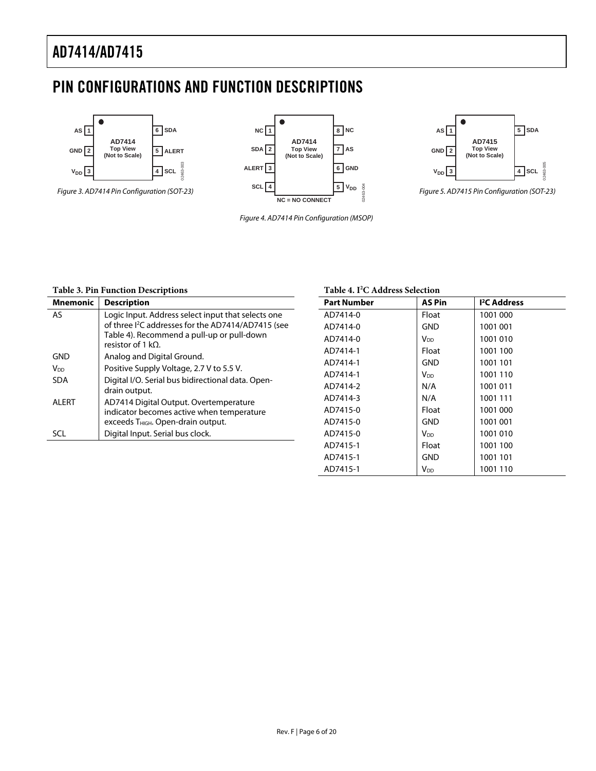# <span id="page-5-0"></span>PIN CONFIGURATIONS AND FUNCTION DESCRIPTIONS



Figure 3. AD7414 Pin Configuration (SOT-23)



Figure 4. AD7414 Pin Configuration (MSOP)



Figure 5. AD7415 Pin Configuration (SOT-23)

#### **Table 3. Pin Function Descriptions**

<span id="page-5-1"></span>

| <b>Mnemonic</b> | <b>Description</b>                                                                                                                                                                               |
|-----------------|--------------------------------------------------------------------------------------------------------------------------------------------------------------------------------------------------|
| <b>AS</b>       | Logic Input. Address select input that selects one<br>of three I <sup>2</sup> C addresses for the AD7414/AD7415 (see<br>Table 4). Recommend a pull-up or pull-down<br>resistor of 1 k $\Omega$ . |
| GND             | Analog and Digital Ground.                                                                                                                                                                       |
| V <sub>DD</sub> | Positive Supply Voltage, 2.7 V to 5.5 V.                                                                                                                                                         |
| <b>SDA</b>      | Digital I/O. Serial bus bidirectional data. Open-<br>drain output.                                                                                                                               |
| AI FRT          | AD7414 Digital Output. Overtemperature<br>indicator becomes active when temperature<br>exceeds T <sub>HIGH</sub> . Open-drain output.                                                            |
| SCL             | Digital Input. Serial bus clock.                                                                                                                                                                 |

#### **Table 4. I2 C Address Selection**

| <b>Part Number</b> | <b>AS Pin</b>   | <sup>2</sup> C Address |
|--------------------|-----------------|------------------------|
| AD7414-0           | Float           | 1001 000               |
| AD7414-0           | GND             | 1001 001               |
| AD7414-0           | Voo.            | 1001010                |
| AD7414-1           | Float           | 1001 100               |
| AD7414-1           | GND             | 1001 101               |
| AD7414-1           | V <sub>DD</sub> | 1001 110               |
| AD7414-2           | N/A             | 1001011                |
| AD7414-3           | N/A             | 1001 111               |
| AD7415-0           | Float           | 1001 000               |
| AD7415-0           | GND             | 1001 001               |
| AD7415-0           | V <sub>DD</sub> | 1001010                |
| AD7415-1           | Float           | 1001 100               |
| AD7415-1           | GND             | 1001 101               |
| AD7415-1           | $V_{DD}$        | 1001 110               |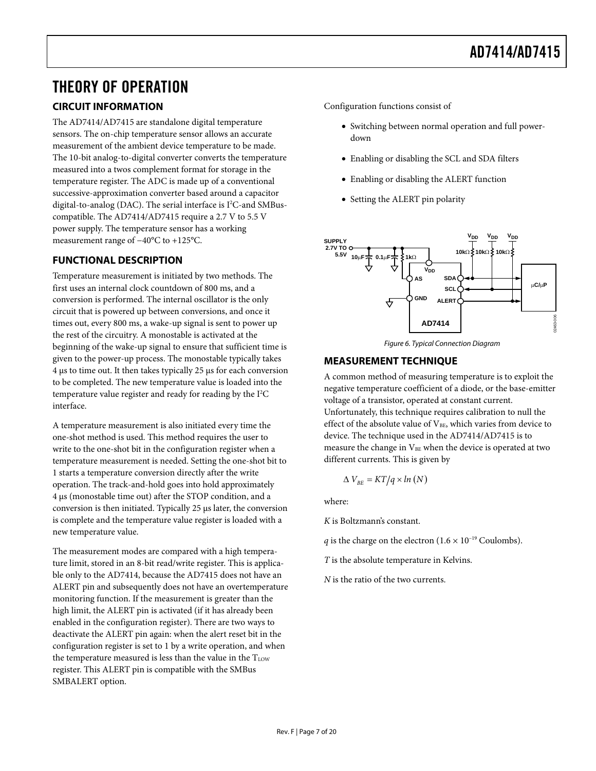# <span id="page-6-0"></span>THEORY OF OPERATION

### **CIRCUIT INFORMATION**

The AD7414/AD7415 are standalone digital temperature sensors. The on-chip temperature sensor allows an accurate measurement of the ambient device temperature to be made. The 10-bit analog-to-digital converter converts the temperature measured into a twos complement format for storage in the temperature register. The ADC is made up of a conventional successive-approximation converter based around a capacitor digital-to-analog (DAC). The serial interface is I<sup>2</sup>C-and SMBuscompatible. The AD7414/AD7415 require a 2.7 V to 5.5 V power supply. The temperature sensor has a working measurement range of −40°C to +125°C.

#### **FUNCTIONAL DESCRIPTION**

Temperature measurement is initiated by two methods. The first uses an internal clock countdown of 800 ms, and a conversion is performed. The internal oscillator is the only circuit that is powered up between conversions, and once it times out, every 800 ms, a wake-up signal is sent to power up the rest of the circuitry. A monostable is activated at the beginning of the wake-up signal to ensure that sufficient time is given to the power-up process. The monostable typically takes 4 μs to time out. It then takes typically 25 μs for each conversion to be completed. The new temperature value is loaded into the temperature value register and ready for reading by the I<sup>2</sup>C interface.

A temperature measurement is also initiated every time the one-shot method is used. This method requires the user to write to the one-shot bit in the configuration register when a temperature measurement is needed. Setting the one-shot bit to 1 starts a temperature conversion directly after the write operation. The track-and-hold goes into hold approximately 4 μs (monostable time out) after the STOP condition, and a conversion is then initiated. Typically 25 μs later, the conversion is complete and the temperature value register is loaded with a new temperature value.

The measurement modes are compared with a high temperature limit, stored in an 8-bit read/write register. This is applicable only to the AD7414, because the AD7415 does not have an ALERT pin and subsequently does not have an overtemperature monitoring function. If the measurement is greater than the high limit, the ALERT pin is activated (if it has already been enabled in the configuration register). There are two ways to deactivate the ALERT pin again: when the alert reset bit in the configuration register is set to 1 by a write operation, and when the temperature measured is less than the value in the  $T_{LOW}$ register. This ALERT pin is compatible with the SMBus SMBALERT option.

Configuration functions consist of

- Switching between normal operation and full powerdown
- Enabling or disabling the SCL and SDA filters
- Enabling or disabling the ALERT function
- Setting the ALERT pin polarity





#### **MEASUREMENT TECHNIQUE**

A common method of measuring temperature is to exploit the negative temperature coefficient of a diode, or the base-emitter voltage of a transistor, operated at constant current. Unfortunately, this technique requires calibration to null the

effect of the absolute value of  $V_{BE}$ , which varies from device to device. The technique used in the AD7414/AD7415 is to measure the change in  $V_{BE}$  when the device is operated at two different currents. This is given by

$$
\Delta V_{BE} = KT/q \times ln\left(N\right)
$$

where:

*K* is Boltzmann's constant.

*q* is the charge on the electron  $(1.6 \times 10^{-19} \text{ Coulombs})$ .

*T* is the absolute temperature in Kelvins.

*N* is the ratio of the two currents.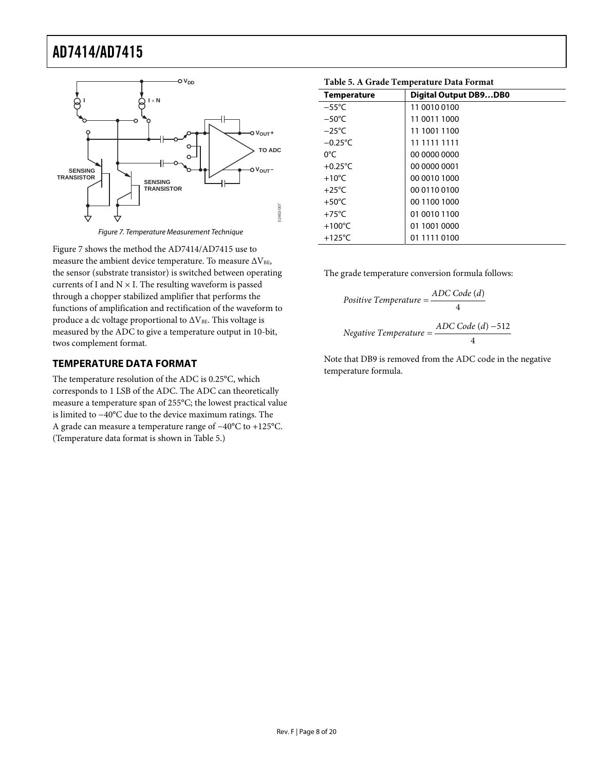<span id="page-7-2"></span><span id="page-7-0"></span>

Figure 7. Temperature Measurement Technique

<span id="page-7-1"></span>[Figure 7](#page-7-1) shows the method the AD7414/AD7415 use to measure the ambient device temperature. To measure  $\Delta V_{\rm BE}$ , the sensor (substrate transistor) is switched between operating currents of I and  $N \times I$ . The resulting waveform is passed through a chopper stabilized amplifier that performs the functions of amplification and rectification of the waveform to produce a dc voltage proportional to  $\Delta V_{BE}$ . This voltage is measured by the ADC to give a temperature output in 10-bit, twos complement format.

#### **TEMPERATURE DATA FORMAT**

The temperature resolution of the ADC is 0.25°C, which corresponds to 1 LSB of the ADC. The ADC can theoretically measure a temperature span of 255°C; the lowest practical value is limited to −40°C due to the device maximum ratings. The A grade can measure a temperature range of −40°C to +125°C. (Temperature data format is shown in [Table 5](#page-7-2).)

| Table 5. A Graue Temperature Data Format |                              |  |
|------------------------------------------|------------------------------|--|
| <b>Temperature</b>                       | <b>Digital Output DB9DB0</b> |  |
| $-55^{\circ}$ C                          | 11 0010 0100                 |  |
| $-50^{\circ}$ C                          | 11 0011 1000                 |  |
| $-25^{\circ}$ C                          | 11 1001 1100                 |  |
| $-0.25^{\circ}$ C                        | 11 1111 1111                 |  |
| 0°C                                      | 00 0000 0000                 |  |
| $+0.25^{\circ}$ C                        | 00 0000 0001                 |  |
| $+10^{\circ}$ C                          | 00 0010 1000                 |  |
| $+25^{\circ}$ C                          | 00 0110 0100                 |  |
| $+50^{\circ}$ C                          | 00 1100 1000                 |  |
| $+75^{\circ}$ C                          | 01 0010 1100                 |  |
| $+100^{\circ}$ C                         | 01 1001 0000                 |  |
| +125 $\degree$ C                         | 01 1111 0100                 |  |

**Table 5. A Grade Temperature Data Format** 

The grade temperature conversion formula follows:

Positive Temperature = 
$$
\frac{ADC Code (d)}{4}
$$
  
Negative Temperature = 
$$
\frac{ADC Code (d) - 512}{4}
$$

Note that DB9 is removed from the ADC code in the negative temperature formula.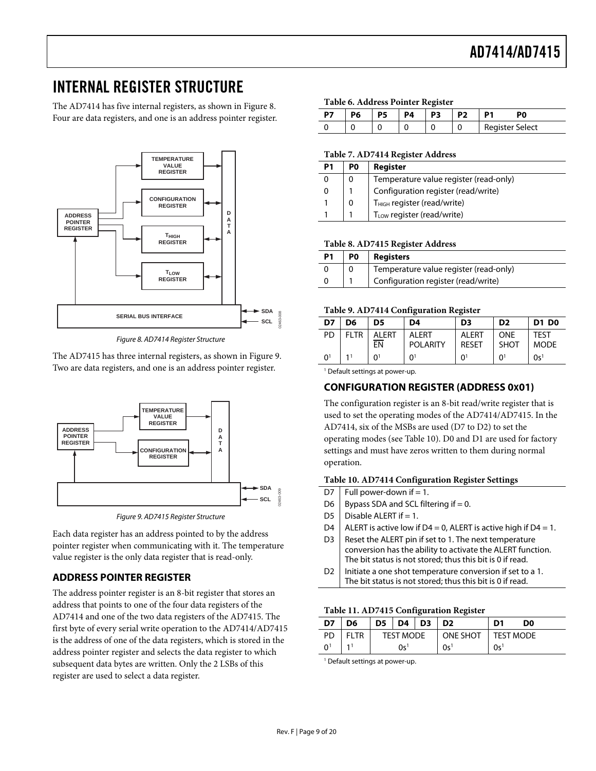### <span id="page-8-0"></span>INTERNAL REGISTER STRUCTURE

The AD7414 has five internal registers, as shown in [Figure 8](#page-8-1). Four are data registers, and one is an address pointer register.



Figure 8. AD7414 Register Structure

<span id="page-8-1"></span>The AD7415 has three internal registers, as shown in [Figure 9](#page-8-2). Two are data registers, and one is an address pointer register.



Figure 9. AD7415 Register Structure

<span id="page-8-3"></span><span id="page-8-2"></span>Each data register has an address pointed to by the address pointer register when communicating with it. The temperature value register is the only data register that is read-only.

#### **ADDRESS POINTER REGISTER**

The address pointer register is an 8-bit register that stores an address that points to one of the four data registers of the AD7414 and one of the two data registers of the AD7415. The first byte of every serial write operation to the AD7414/AD7415 is the address of one of the data registers, which is stored in the address pointer register and selects the data register to which subsequent data bytes are written. Only the 2 LSBs of this register are used to select a data register.

| Table 6. Address Pointer Register |  |  |
|-----------------------------------|--|--|
|-----------------------------------|--|--|

| D7 |  | P4 | . .<br>P <sub>3</sub> | P <sub>2</sub> | 20                     |
|----|--|----|-----------------------|----------------|------------------------|
|    |  |    | u                     | J              | <b>Register Select</b> |

#### **Table 7. AD7414 Register Address**

| P1 | P0 | <b>Register</b>                         |
|----|----|-----------------------------------------|
| 0  | 0  | Temperature value register (read-only)  |
| 0  |    | Configuration register (read/write)     |
|    | 0  | T <sub>HIGH</sub> register (read/write) |
|    |    | T <sub>LOW</sub> register (read/write)  |

#### **Table 8. AD7415 Register Address**

| P1 | P <sub>0</sub> | <b>Registers</b>                       |
|----|----------------|----------------------------------------|
|    |                | Temperature value register (read-only) |
|    |                | Configuration register (read/write)    |

#### **Table 9. AD7414 Configuration Register**

| D7             | D6          | D5                 | D4                        | D <sub>3</sub>               | D <sub>2</sub>     | <b>D1 D0</b>               |  |  |  |  |  |  |
|----------------|-------------|--------------------|---------------------------|------------------------------|--------------------|----------------------------|--|--|--|--|--|--|
| PD             | <b>FLTR</b> | <b>ALERT</b><br>EN | AI FRT<br><b>POLARITY</b> | <b>ALERT</b><br><b>RESET</b> | ONF<br><b>SHOT</b> | <b>TFST</b><br><b>MODE</b> |  |  |  |  |  |  |
| 0 <sup>1</sup> |             | ∩1                 | $\Omega$ <sup>1</sup>     | ∩≀                           | ΩÏ                 | 0s <sup>1</sup>            |  |  |  |  |  |  |

<sup>1</sup> Default settings at power-up.

#### **CONFIGURATION REGISTER (ADDRESS 0X01)**

The configuration register is an 8-bit read/write register that is used to set the operating modes of the AD7414/AD7415. In the AD7414, six of the MSBs are used (D7 to D2) to set the operating modes (see [Table 10](#page-8-3)). D0 and D1 are used for factory settings and must have zeros written to them during normal operation.

#### **Table 10. AD7414 Configuration Register Settings**

- D7 | Full power-down if = 1.
- D6 | Bypass SDA and SCL filtering if  $= 0$ .
- D5 Disable ALERT if  $= 1$ .
- D4 | ALERT is active low if D4 = 0, ALERT is active high if D4 = 1.
- D3 Reset the ALERT pin if set to 1. The next temperature conversion has the ability to activate the ALERT function. The bit status is not stored; thus this bit is 0 if read.
- D2 | Initiate a one shot temperature conversion if set to a 1. The bit status is not stored; thus this bit is 0 if read.

#### **Table 11. AD7415 Configuration Register**

| D7       | D <sub>6</sub> | $\mid$ D5 $\mid$ D4 $\mid$ D3 |                  | D <sub>2</sub>  | D1               | D0 |
|----------|----------------|-------------------------------|------------------|-----------------|------------------|----|
| PD.      | <b>FLTR</b>    |                               | <b>TEST MODE</b> | ONE SHOT        | <b>TEST MODE</b> |    |
| $\Omega$ |                |                               | 0s <sup>1</sup>  | 0s <sup>1</sup> | 0s <sup>1</sup>  |    |

1 Default settings at power-up.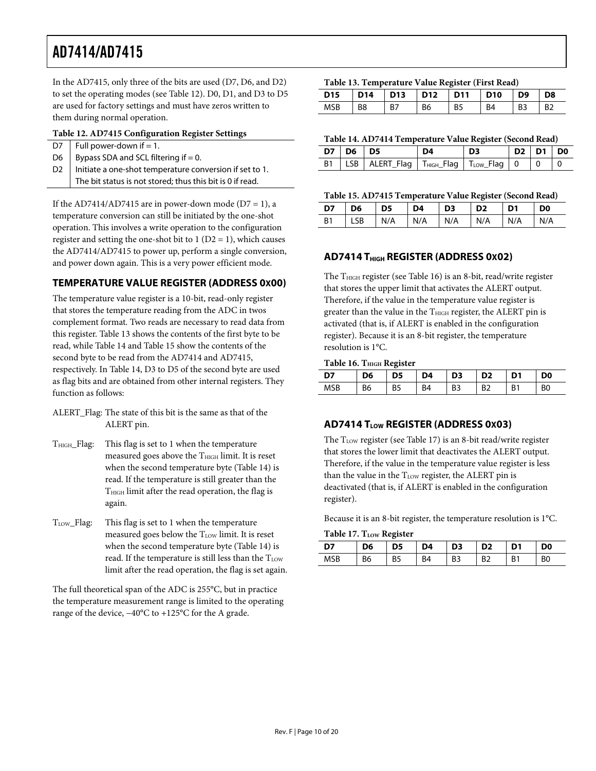<span id="page-9-2"></span><span id="page-9-0"></span>In the AD7415, only three of the bits are used (D7, D6, and D2) to set the operating modes (see [Table 12](#page-9-1)). D0, D1, and D3 to D5 are used for factory settings and must have zeros written to them during normal operation.

#### **Table 12. AD7415 Configuration Register Settings**

<span id="page-9-3"></span><span id="page-9-1"></span>

|                | D7   Full power-down if $= 1$ .                           |
|----------------|-----------------------------------------------------------|
|                | D6   Bypass SDA and SCL filtering if $= 0$ .              |
| D <sub>2</sub> | Initiate a one-shot temperature conversion if set to 1.   |
|                | The bit status is not stored; thus this bit is 0 if read. |

<span id="page-9-4"></span>If the AD7414/AD7415 are in power-down mode ( $D7 = 1$ ), a temperature conversion can still be initiated by the one-shot operation. This involves a write operation to the configuration register and setting the one-shot bit to  $1 (D2 = 1)$ , which causes the AD7414/AD7415 to power up, perform a single conversion, and power down again. This is a very power efficient mode.

#### **TEMPERATURE VALUE REGISTER (ADDRESS 0X00)**

The temperature value register is a 10-bit, read-only register that stores the temperature reading from the ADC in twos complement format. Two reads are necessary to read data from this register. [Table 13](#page-9-2) shows the contents of the first byte to be read, while [Table 14](#page-9-3) and [Table 15](#page-9-4) show the contents of the second byte to be read from the AD7414 and AD7415, respectively. In [Table 14](#page-9-3), D3 to D5 of the second byte are used as flag bits and are obtained from other internal registers. They function as follows:

- <span id="page-9-5"></span>ALERT\_Flag: The state of this bit is the same as that of the ALERT pin.
- THIGH\_Flag: This flag is set to 1 when the temperature measured goes above the  $T<sub>HIGH</sub>$  limit. It is reset when the second temperature byte ([Table 14](#page-9-3)) is read. If the temperature is still greater than the THIGH limit after the read operation, the flag is again.
- <span id="page-9-6"></span>T<sub>LOW\_F</sub>lag: This flag is set to 1 when the temperature measured goes below the  $T_{LOW}$  limit. It is reset when the second temperature byte ([Table 14](#page-9-3)) is read. If the temperature is still less than the TLOW limit after the read operation, the flag is set again.

The full theoretical span of the ADC is 255°C, but in practice the temperature measurement range is limited to the operating range of the device, −40°C to +125°C for the A grade.

#### **Table 13. Temperature Value Register (First Read)**

|     | D15   D14   D13   D12   D11   D10   D9   D8 |    |           |                 |           |       |                 |
|-----|---------------------------------------------|----|-----------|-----------------|-----------|-------|-----------------|
| MSB | $\overline{B8}$                             | B7 | <b>B6</b> | $\overline{B5}$ | <b>B4</b> | $-B3$ | $\overline{B2}$ |

#### **Table 14. AD7414 Temperature Value Register (Second Read)**

|           | $D7$ D6 D5 |                                                                        | nд | DЗ | $D2$   $D1$   $D0$ |  |
|-----------|------------|------------------------------------------------------------------------|----|----|--------------------|--|
| <b>B1</b> |            | LSB   ALERT_Flag   T <sub>HGH</sub> _Flag   T <sub>LOW</sub> _Flag   0 |    |    |                    |  |

#### **Table 15. AD7415 Temperature Value Register (Second Read)**

B1 |LSB |N/A |N/A |N/A |N/A |N/A |N/A

|  | D7   D6   D5   D4   D3   D2   D1   D0 |  |  |  |
|--|---------------------------------------|--|--|--|

#### **AD7414 T<sub>HIGH</sub> REGISTER (ADDRESS 0x02)**

The  $T<sub>HIGH</sub>$  register (see [Table 16](#page-9-5)) is an 8-bit, read/write register that stores the upper limit that activates the ALERT output. Therefore, if the value in the temperature value register is greater than the value in the THIGH register, the ALERT pin is activated (that is, if ALERT is enabled in the configuration register). Because it is an 8-bit register, the temperature resolution is 1°C.

#### **Table 16. THIGH Register**

| D6 | D5             | D4 | D3 | D <sub>2</sub> | D1 | D0 |
|----|----------------|----|----|----------------|----|----|
| B6 | B <sub>5</sub> | R4 | B3 | R٦             | B1 |    |

#### **AD7414 TLOW REGISTER (ADDRESS 0X03)**

The T<sub>LOW</sub> register (see [Table 17](#page-9-6)) is an 8-bit read/write register that stores the lower limit that deactivates the ALERT output. Therefore, if the value in the temperature value register is less than the value in the  $T_{LOW}$  register, the ALERT pin is deactivated (that is, if ALERT is enabled in the configuration register).

Because it is an 8-bit register, the temperature resolution is 1°C.

**Table 17. T<sub>LOW</sub> Register** 

|    | Twore 17. I LOW INSTRUCT |    |                |                |    |    |                |  |  |  |  |  |  |
|----|--------------------------|----|----------------|----------------|----|----|----------------|--|--|--|--|--|--|
| לח | D6                       | D5 | D <sub>4</sub> | D <sub>3</sub> |    | D1 | D0             |  |  |  |  |  |  |
|    | B6                       | B5 | B <sub>4</sub> | B <sub>3</sub> | B2 | B1 | B <sub>0</sub> |  |  |  |  |  |  |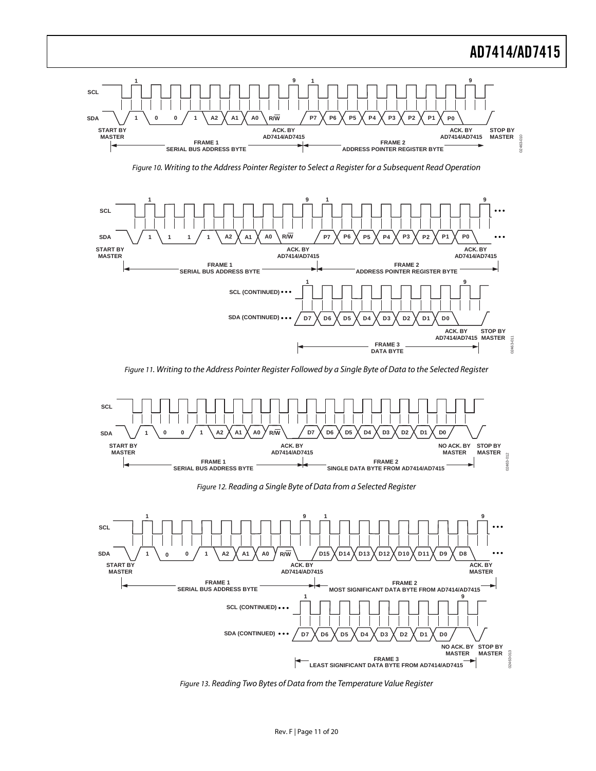

Figure 10. Writing to the Address Pointer Register to Select a Register for a Subsequent Read Operation

<span id="page-10-0"></span>

Figure 11. Writing to the Address Pointer Register Followed by a Single Byte of Data to the Selected Register

<span id="page-10-1"></span>

Figure 12. Reading a Single Byte of Data from a Selected Register

<span id="page-10-2"></span>

<span id="page-10-3"></span>Figure 13. Reading Two Bytes of Data from the Temperature Value Register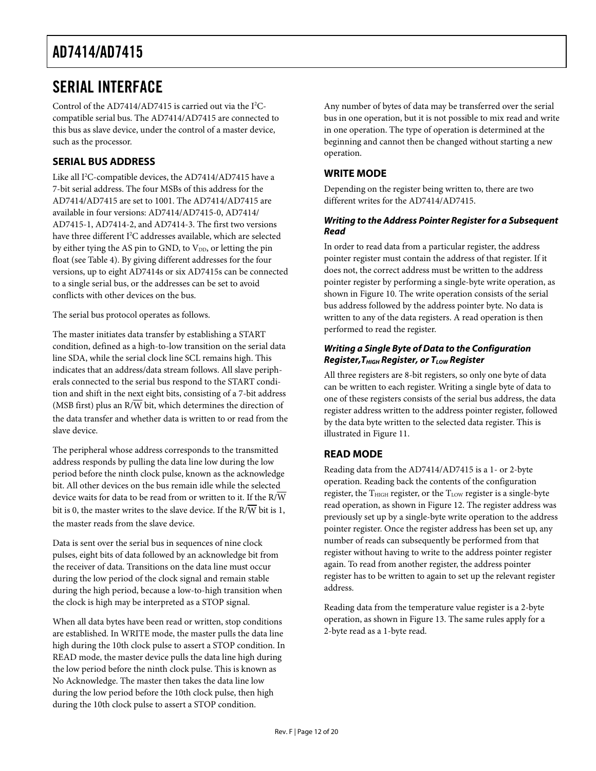### <span id="page-11-0"></span>SERIAL INTERFACE

Control of the AD7414/AD7415 is carried out via the I<sup>2</sup>Ccompatible serial bus. The AD7414/AD7415 are connected to this bus as slave device, under the control of a master device, such as the processor.

#### **SERIAL BUS ADDRESS**

Like all I<sup>2</sup>C-compatible devices, the AD7414/AD7415 have a 7-bit serial address. The four MSBs of this address for the AD7414/AD7415 are set to 1001. The AD7414/AD7415 are available in four versions: AD7414/AD7415-0, AD7414/ AD7415-1, AD7414-2, and AD7414-3. The first two versions have three different I<sup>2</sup>C addresses available, which are selected by either tying the AS pin to GND, to  $V_{DD}$ , or letting the pin float (see [Table 4](#page-5-1)). By giving different addresses for the four versions, up to eight AD7414s or six AD7415s can be connected to a single serial bus, or the addresses can be set to avoid conflicts with other devices on the bus.

The serial bus protocol operates as follows.

The master initiates data transfer by establishing a START condition, defined as a high-to-low transition on the serial data line SDA, while the serial clock line SCL remains high. This indicates that an address/data stream follows. All slave peripherals connected to the serial bus respond to the START condition and shift in the next eight bits, consisting of a 7-bit address (MSB first) plus an  $R/\overline{W}$  bit, which determines the direction of the data transfer and whether data is written to or read from the slave device.

The peripheral whose address corresponds to the transmitted address responds by pulling the data line low during the low period before the ninth clock pulse, known as the acknowledge bit. All other devices on the bus remain idle while the selected device waits for data to be read from or written to it. If the R/W bit is 0, the master writes to the slave device. If the  $R/\overline{W}$  bit is 1, the master reads from the slave device.

Data is sent over the serial bus in sequences of nine clock pulses, eight bits of data followed by an acknowledge bit from the receiver of data. Transitions on the data line must occur during the low period of the clock signal and remain stable during the high period, because a low-to-high transition when the clock is high may be interpreted as a STOP signal.

When all data bytes have been read or written, stop conditions are established. In WRITE mode, the master pulls the data line high during the 10th clock pulse to assert a STOP condition. In READ mode, the master device pulls the data line high during the low period before the ninth clock pulse. This is known as No Acknowledge. The master then takes the data line low during the low period before the 10th clock pulse, then high during the 10th clock pulse to assert a STOP condition.

Any number of bytes of data may be transferred over the serial bus in one operation, but it is not possible to mix read and write in one operation. The type of operation is determined at the beginning and cannot then be changed without starting a new operation.

#### **WRITE MODE**

Depending on the register being written to, there are two different writes for the AD7414/AD7415.

#### **Writing to the Address Pointer Register for a Subsequent Read**

In order to read data from a particular register, the address pointer register must contain the address of that register. If it does not, the correct address must be written to the address pointer register by performing a single-byte write operation, as shown in [Figure 10](#page-10-0). The write operation consists of the serial bus address followed by the address pointer byte. No data is written to any of the data registers. A read operation is then performed to read the register.

#### **Writing a Single Byte of Data to the Configuration Register, T<sub>HIGH</sub> Register, or T<sub>LOW</sub> Register**

All three registers are 8-bit registers, so only one byte of data can be written to each register. Writing a single byte of data to one of these registers consists of the serial bus address, the data register address written to the address pointer register, followed by the data byte written to the selected data register. This is illustrated in [Figure 11.](#page-10-1)

#### **READ MODE**

Reading data from the AD7414/AD7415 is a 1- or 2-byte operation. Reading back the contents of the configuration register, the T<sub>HIGH</sub> register, or the T<sub>LOW</sub> register is a single-byte read operation, as shown in [Figure 12](#page-10-2). The register address was previously set up by a single-byte write operation to the address pointer register. Once the register address has been set up, any number of reads can subsequently be performed from that register without having to write to the address pointer register again. To read from another register, the address pointer register has to be written to again to set up the relevant register address.

Reading data from the temperature value register is a 2-byte operation, as shown in [Figure 13](#page-10-3). The same rules apply for a 2-byte read as a 1-byte read.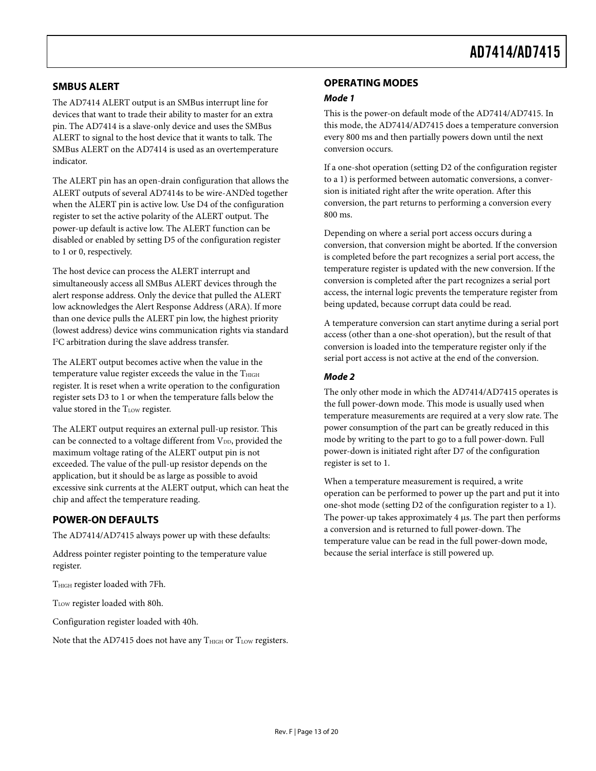#### <span id="page-12-0"></span>**SMBUS ALERT**

The AD7414 ALERT output is an SMBus interrupt line for devices that want to trade their ability to master for an extra pin. The AD7414 is a slave-only device and uses the SMBus ALERT to signal to the host device that it wants to talk. The SMBus ALERT on the AD7414 is used as an overtemperature indicator.

The ALERT pin has an open-drain configuration that allows the ALERT outputs of several AD7414s to be wire-AND'ed together when the ALERT pin is active low. Use D4 of the configuration register to set the active polarity of the ALERT output. The power-up default is active low. The ALERT function can be disabled or enabled by setting D5 of the configuration register to 1 or 0, respectively.

The host device can process the ALERT interrupt and simultaneously access all SMBus ALERT devices through the alert response address. Only the device that pulled the ALERT low acknowledges the Alert Response Address (ARA). If more than one device pulls the ALERT pin low, the highest priority (lowest address) device wins communication rights via standard I 2 C arbitration during the slave address transfer.

The ALERT output becomes active when the value in the temperature value register exceeds the value in the THIGH register. It is reset when a write operation to the configuration register sets D3 to 1 or when the temperature falls below the value stored in the T<sub>LOW</sub> register.

The ALERT output requires an external pull-up resistor. This can be connected to a voltage different from V<sub>DD</sub>, provided the maximum voltage rating of the ALERT output pin is not exceeded. The value of the pull-up resistor depends on the application, but it should be as large as possible to avoid excessive sink currents at the ALERT output, which can heat the chip and affect the temperature reading.

#### **POWER-ON DEFAULTS**

The AD7414/AD7415 always power up with these defaults:

Address pointer register pointing to the temperature value register.

THIGH register loaded with 7Fh.

TLOW register loaded with 80h.

Configuration register loaded with 40h.

Note that the AD7415 does not have any  $T<sub>HIGH</sub>$  or  $T<sub>LOW</sub>$  registers.

#### **OPERATING MODES**

#### **Mode 1**

This is the power-on default mode of the AD7414/AD7415. In this mode, the AD7414/AD7415 does a temperature conversion every 800 ms and then partially powers down until the next conversion occurs.

If a one-shot operation (setting D2 of the configuration register to a 1) is performed between automatic conversions, a conversion is initiated right after the write operation. After this conversion, the part returns to performing a conversion every 800 ms.

Depending on where a serial port access occurs during a conversion, that conversion might be aborted. If the conversion is completed before the part recognizes a serial port access, the temperature register is updated with the new conversion. If the conversion is completed after the part recognizes a serial port access, the internal logic prevents the temperature register from being updated, because corrupt data could be read.

A temperature conversion can start anytime during a serial port access (other than a one-shot operation), but the result of that conversion is loaded into the temperature register only if the serial port access is not active at the end of the conversion.

#### **Mode 2**

The only other mode in which the AD7414/AD7415 operates is the full power-down mode. This mode is usually used when temperature measurements are required at a very slow rate. The power consumption of the part can be greatly reduced in this mode by writing to the part to go to a full power-down. Full power-down is initiated right after D7 of the configuration register is set to 1.

When a temperature measurement is required, a write operation can be performed to power up the part and put it into one-shot mode (setting D2 of the configuration register to a 1). The power-up takes approximately 4 μs. The part then performs a conversion and is returned to full power-down. The temperature value can be read in the full power-down mode, because the serial interface is still powered up.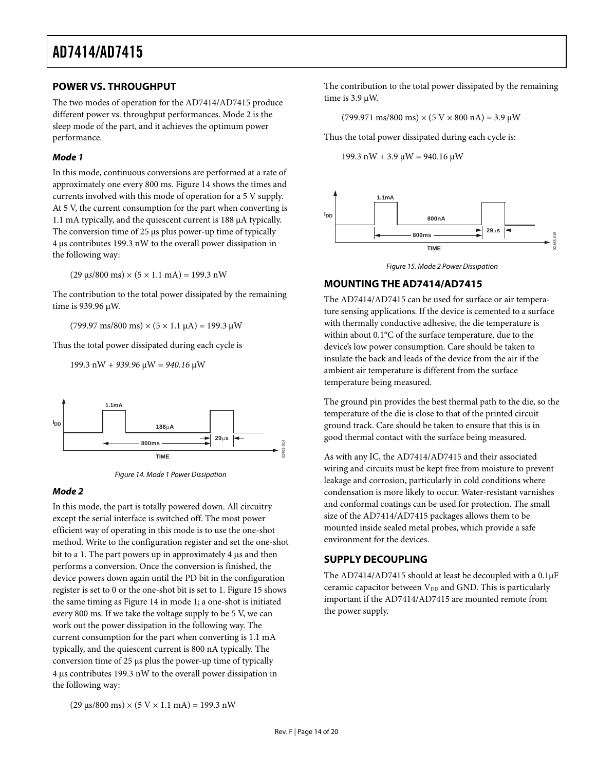#### <span id="page-13-0"></span>**POWER VS. THROUGHPUT**

The two modes of operation for the AD7414/AD7415 produce different power vs. throughput performances. Mode 2 is the sleep mode of the part, and it achieves the optimum power performance.

#### **Mode 1**

In this mode, continuous conversions are performed at a rate of approximately one every 800 ms. [Figure 14](#page-13-1) shows the times and currents involved with this mode of operation for a 5 V supply. At 5 V, the current consumption for the part when converting is 1.1 mA typically, and the quiescent current is 188 μA typically. The conversion time of 25 μs plus power-up time of typically 4 μs contributes 199.3 nW to the overall power dissipation in the following way:

 $(29 \text{ }\mu\text{s}/800 \text{ ms}) \times (5 \times 1.1 \text{ mA}) = 199.3 \text{ nW}$ 

<span id="page-13-2"></span>The contribution to the total power dissipated by the remaining time is 939.96 μW.

 $(799.97 \text{ ms}/800 \text{ ms}) \times (5 \times 1.1 \text{ }\mu\text{A}) = 199.3 \text{ }\mu\text{W}$ 

Thus the total power dissipated during each cycle is

199.3 nW *+ 939.96* μW *= 940.16* μW



Figure 14. Mode 1 Power Dissipation

#### <span id="page-13-1"></span>**Mode 2**

In this mode, the part is totally powered down. All circuitry except the serial interface is switched off. The most power efficient way of operating in this mode is to use the one-shot method. Write to the configuration register and set the one-shot bit to a 1. The part powers up in approximately 4 μs and then performs a conversion. Once the conversion is finished, the device powers down again until the PD bit in the configuration register is set to 0 or the one-shot bit is set to 1. [Figure 15](#page-13-2) shows the same timing as [Figure 14](#page-13-1) in mode 1; a one-shot is initiated every 800 ms. If we take the voltage supply to be 5 V, we can work out the power dissipation in the following way. The current consumption for the part when converting is 1.1 mA typically, and the quiescent current is 800 nA typically. The conversion time of 25 μs plus the power-up time of typically 4 μs contributes 199.3 nW to the overall power dissipation in the following way:

The contribution to the total power dissipated by the remaining time is 3.9 μW.

 $(799.971 \text{ ms}/800 \text{ ms}) \times (5 \text{ V} \times 800 \text{ nA}) = 3.9 \text{ }\mu\text{W}$ 

Thus the total power dissipated during each cycle is:

199.3 nW + 3.9 μW = 940.16 μW





#### **MOUNTING THE AD7414/AD7415**

The AD7414/AD7415 can be used for surface or air temperature sensing applications. If the device is cemented to a surface with thermally conductive adhesive, the die temperature is within about 0.1°C of the surface temperature, due to the device's low power consumption. Care should be taken to insulate the back and leads of the device from the air if the ambient air temperature is different from the surface temperature being measured.

The ground pin provides the best thermal path to the die, so the temperature of the die is close to that of the printed circuit ground track. Care should be taken to ensure that this is in good thermal contact with the surface being measured.

As with any IC, the AD7414/AD7415 and their associated wiring and circuits must be kept free from moisture to prevent leakage and corrosion, particularly in cold conditions where condensation is more likely to occur. Water-resistant varnishes and conformal coatings can be used for protection. The small size of the AD7414/AD7415 packages allows them to be mounted inside sealed metal probes, which provide a safe environment for the devices.

#### **SUPPLY DECOUPLING**

The AD7414/AD7415 should at least be decoupled with a 0.1μF ceramic capacitor between  $V_{DD}$  and GND. This is particularly important if the AD7414/AD7415 are mounted remote from the power supply.

 $(29 \text{ }\mu\text{s}/800 \text{ ms}) \times (5 \text{ V} \times 1.1 \text{ mA}) = 199.3 \text{ nW}$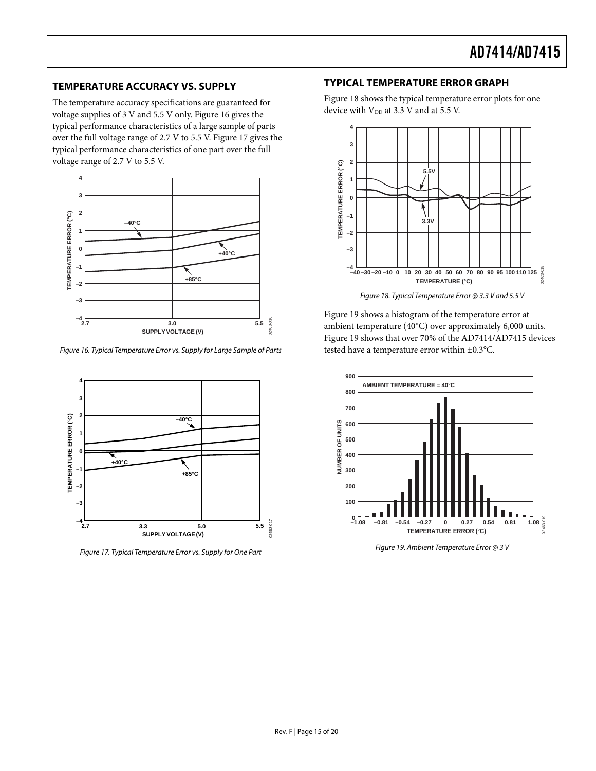The temperature accuracy specifications are guaranteed for  $\frac{1}{2}$  at 3.3 V and at 5.5 V. voltage supplies of 3 V and 5.5 V only. [Figure 16](#page-14-2) gives the typical performance characteristics of a large sample of parts over the full voltage range of 2.7 V to 5.5 V. [Figure 17](#page-14-3) gives the typical performance characteristics of one part over the full voltage range of 2.7 V to 5.5 V.



<span id="page-14-4"></span><span id="page-14-2"></span>Figure 16. Typical Temperature Error vs. Supply for Large Sample of Parts tested have a temperature error within  $\pm 0.3$ °C.



<span id="page-14-5"></span><span id="page-14-3"></span>Figure 19. Ambient Temperature Error @ 3 V Figure 17. Typical Temperature Error vs. Supply for One Part

### <span id="page-14-1"></span><span id="page-14-0"></span>**TYPICAL TEMPERATURE ERROR GRAPH TEMPERATURE ACCURACY VS. SUPPLY**

[Figure 18](#page-14-4) shows the typical temperature error plots for one



[Figure 19](#page-14-5) shows a histogram of the temperature error at ambient temperature (40°C) over approximately 6,000 units. [Figure 19](#page-14-5) shows that over 70% of the AD7414/AD7415 devices

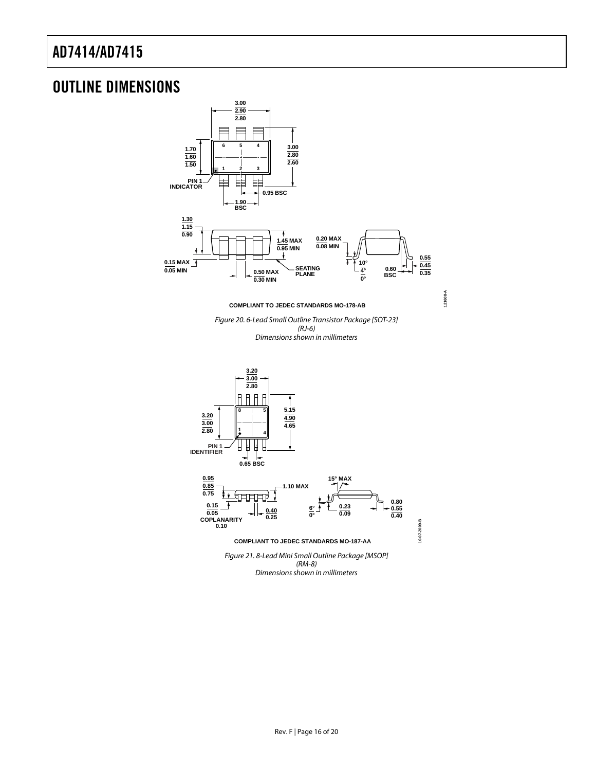### <span id="page-15-0"></span>OUTLINE DIMENSIONS

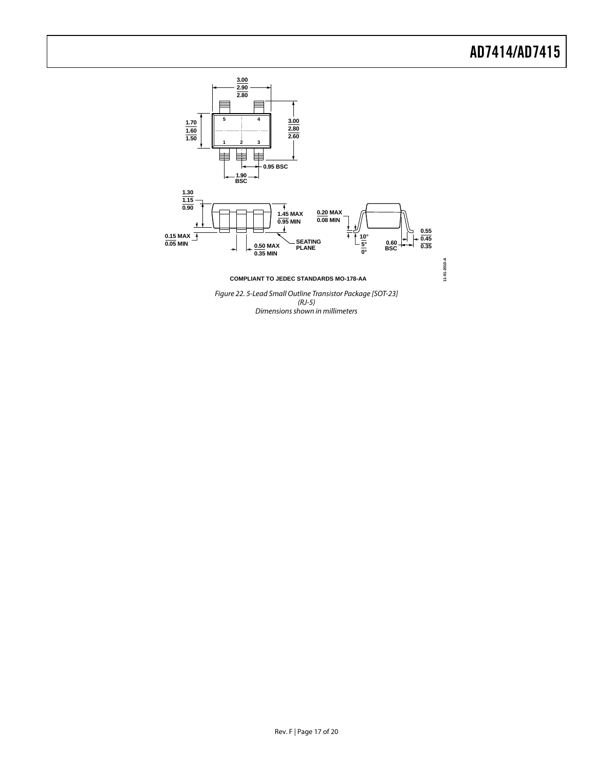

Figure 22. 5-Lead Small Outline Transistor Package [SOT-23] (RJ-5) Dimensions shown in millimeters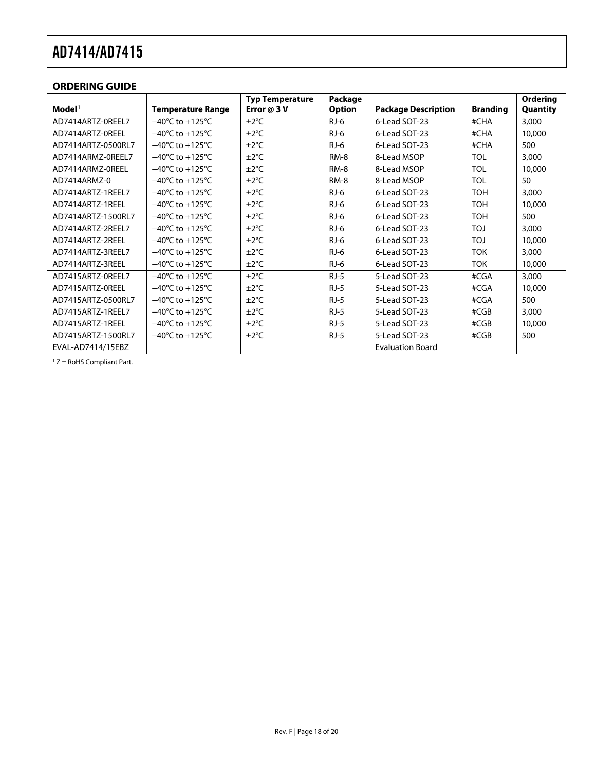#### <span id="page-17-0"></span>**ORDERING GUIDE**

|                               |                                      | <b>Typ Temperature</b> | Package       |                            |                 | <b>Ordering</b> |
|-------------------------------|--------------------------------------|------------------------|---------------|----------------------------|-----------------|-----------------|
| $\mathbf{Model}^{\mathsf{T}}$ | <b>Temperature Range</b>             | Error $@3V$            | <b>Option</b> | <b>Package Description</b> | <b>Branding</b> | Quantity        |
| AD7414ARTZ-OREEL7             | $-40^{\circ}$ C to $+125^{\circ}$ C  | $\pm 2^{\circ}$ C      | $RJ-6$        | 6-Lead SOT-23              | #CHA            | 3,000           |
| AD7414ARTZ-OREEL              | $-40^{\circ}$ C to $+125^{\circ}$ C  | $\pm 2^{\circ}$ C      | $RJ-6$        | 6-Lead SOT-23              | #CHA            | 10,000          |
| AD7414ARTZ-0500RL7            | $-40^{\circ}$ C to $+125^{\circ}$ C  | $\pm 2^{\circ}$ C      | $RJ-6$        | 6-Lead SOT-23              | #CHA            | 500             |
| AD7414ARMZ-0REEL7             | $-40^{\circ}$ C to $+125^{\circ}$ C  | $\pm 2^{\circ}$ C      | RM-8          | 8-Lead MSOP                | <b>TOL</b>      | 3,000           |
| AD7414ARMZ-OREEL              | $-40^{\circ}$ C to $+125^{\circ}$ C  | $\pm 2^{\circ}$ C      | RM-8          | 8-Lead MSOP                | <b>TOL</b>      | 10,000          |
| AD7414ARMZ-0                  | $-40^{\circ}$ C to $+125^{\circ}$ C  | $\pm 2^{\circ}$ C      | <b>RM-8</b>   | 8-Lead MSOP                | <b>TOL</b>      | 50              |
| AD7414ARTZ-1REEL7             | $-40^{\circ}$ C to $+125^{\circ}$ C  | $\pm 2^{\circ}$ C      | $RJ-6$        | 6-Lead SOT-23              | <b>TOH</b>      | 3,000           |
| AD7414ARTZ-1REEL              | $-40^{\circ}$ C to $+125^{\circ}$ C  | $\pm 2^{\circ}$ C      | $RJ-6$        | 6-Lead SOT-23              | <b>TOH</b>      | 10,000          |
| AD7414ARTZ-1500RL7            | $-40^{\circ}$ C to $+125^{\circ}$ C  | $\pm 2^{\circ}$ C      | $RJ-6$        | 6-Lead SOT-23              | <b>TOH</b>      | 500             |
| AD7414ARTZ-2REEL7             | $-40^{\circ}$ C to $+125^{\circ}$ C  | $\pm 2^{\circ}$ C      | $RJ-6$        | 6-Lead SOT-23              | <b>TOJ</b>      | 3,000           |
| AD7414ARTZ-2REEL              | $-40^{\circ}$ C to $+125^{\circ}$ C  | $\pm 2^{\circ}$ C      | $RJ-6$        | 6-Lead SOT-23              | <b>LOT</b>      | 10,000          |
| AD7414ART7-3RFFL7             | $-40^{\circ}$ C to $+125^{\circ}$ C  | $\pm 2^{\circ}$ C      | $RJ-6$        | 6-Lead SOT-23              | <b>TOK</b>      | 3,000           |
| AD7414ARTZ-3REEL              | $-40^{\circ}$ C to +125 $^{\circ}$ C | $\pm 2^{\circ}$ C      | $RJ-6$        | 6-Lead SOT-23              | <b>TOK</b>      | 10,000          |
| AD7415ARTZ-OREEL7             | $-40^{\circ}$ C to $+125^{\circ}$ C  | $\pm 2^{\circ}$ C      | $RJ-5$        | 5-Lead SOT-23              | #CGA            | 3,000           |
| AD7415ARTZ-OREEL              | $-40^{\circ}$ C to $+125^{\circ}$ C  | $\pm 2^{\circ}$ C      | $RJ-5$        | 5-Lead SOT-23              | #CGA            | 10,000          |
| AD7415ARTZ-0500RL7            | $-40^{\circ}$ C to $+125^{\circ}$ C  | $\pm 2^{\circ}$ C      | $RJ-5$        | 5-Lead SOT-23              | #CGA            | 500             |
| AD7415ARTZ-1REEL7             | $-40^{\circ}$ C to $+125^{\circ}$ C  | $\pm 2^{\circ}$ C      | $RJ-5$        | 5-Lead SOT-23              | #CGB            | 3,000           |
| AD7415ARTZ-1REEL              | $-40^{\circ}$ C to $+125^{\circ}$ C  | $\pm 2^{\circ}$ C      | $RJ-5$        | 5-Lead SOT-23              | #CGB            | 10,000          |
| AD7415ARTZ-1500RL7            | $-40^{\circ}$ C to $+125^{\circ}$ C  | $\pm 2^{\circ}$ C      | $RJ-5$        | 5-Lead SOT-23              | #CGB            | 500             |
| EVAL-AD7414/15EBZ             |                                      |                        |               | <b>Evaluation Board</b>    |                 |                 |

 $1 Z =$  RoHS Compliant Part.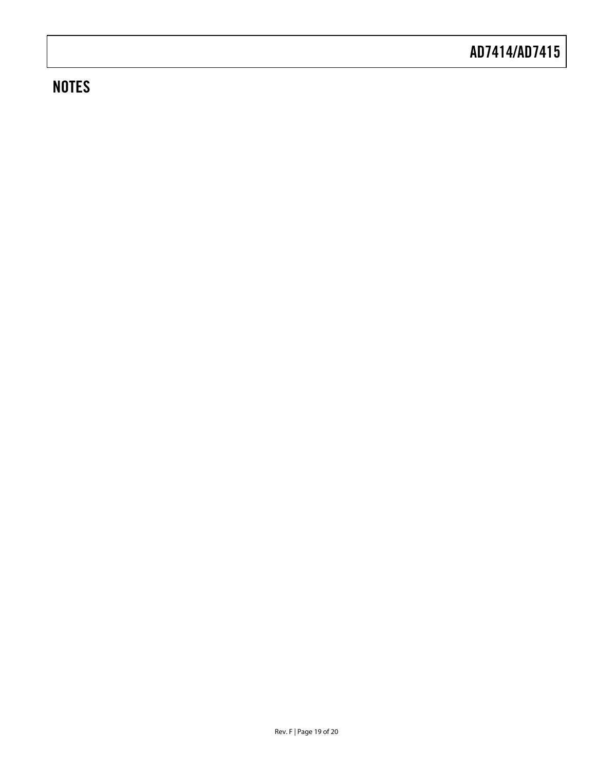# **NOTES**